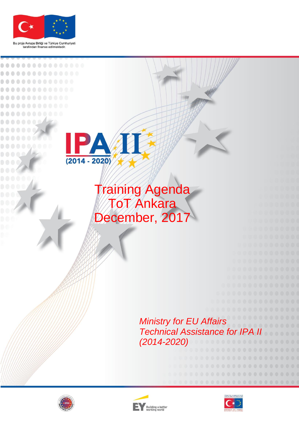

Bu proje Avrupa Birliği ve Türkiye Cumhuriyeti<br>tarafından finanse edilmektedir.

..........



## Training Agenda ToT Ankara December, 2017

## *Ministry for EU Affairs* **Technical Assistance for IPA** *(2014-2020)*





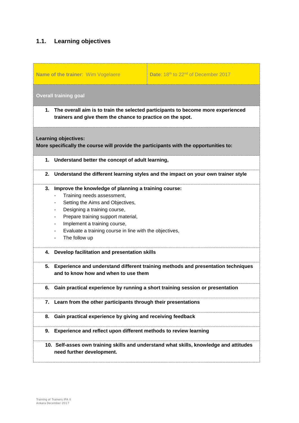## **1.1. Learning objectives**

|                                                                                                                      | Name of the trainer: Wim Vogelaere                                                                                                                                                                                                                                                                                                                                                                              | Date: 18th to 22 <sup>nd</sup> of December 2017                                     |  |  |  |
|----------------------------------------------------------------------------------------------------------------------|-----------------------------------------------------------------------------------------------------------------------------------------------------------------------------------------------------------------------------------------------------------------------------------------------------------------------------------------------------------------------------------------------------------------|-------------------------------------------------------------------------------------|--|--|--|
|                                                                                                                      | <b>Overall training goal</b>                                                                                                                                                                                                                                                                                                                                                                                    |                                                                                     |  |  |  |
|                                                                                                                      | 1. The overall aim is to train the selected participants to become more experienced<br>trainers and give them the chance to practice on the spot.                                                                                                                                                                                                                                                               |                                                                                     |  |  |  |
| <b>Learning objectives:</b><br>More specifically the course will provide the participants with the opportunities to: |                                                                                                                                                                                                                                                                                                                                                                                                                 |                                                                                     |  |  |  |
|                                                                                                                      | 1. Understand better the concept of adult learning,                                                                                                                                                                                                                                                                                                                                                             |                                                                                     |  |  |  |
| 2.                                                                                                                   | Understand the different learning styles and the impact on your own trainer style                                                                                                                                                                                                                                                                                                                               |                                                                                     |  |  |  |
|                                                                                                                      | 3. Improve the knowledge of planning a training course:<br>Training needs assessment,<br>Setting the Aims and Objectives,<br>$\overline{\phantom{0}}$<br>Designing a training course,<br>۰<br>Prepare training support material,<br>۰.<br>Implement a training course,<br>۰<br>Evaluate a training course in line with the objectives,<br>$\overline{\phantom{0}}$<br>The follow up<br>$\overline{\phantom{0}}$ |                                                                                     |  |  |  |
|                                                                                                                      | 4. Develop facilitation and presentation skills                                                                                                                                                                                                                                                                                                                                                                 |                                                                                     |  |  |  |
|                                                                                                                      | and to know how and when to use them                                                                                                                                                                                                                                                                                                                                                                            | 5. Experience and understand different training methods and presentation techniques |  |  |  |
| 6.                                                                                                                   | Gain practical experience by running a short training session or presentation                                                                                                                                                                                                                                                                                                                                   |                                                                                     |  |  |  |
| 7.                                                                                                                   | Learn from the other participants through their presentations                                                                                                                                                                                                                                                                                                                                                   |                                                                                     |  |  |  |
| 8.                                                                                                                   | Gain practical experience by giving and receiving feedback                                                                                                                                                                                                                                                                                                                                                      |                                                                                     |  |  |  |
| 9.                                                                                                                   | Experience and reflect upon different methods to review learning                                                                                                                                                                                                                                                                                                                                                |                                                                                     |  |  |  |
|                                                                                                                      | 10. Self-asses own training skills and understand what skills, knowledge and attitudes<br>need further development.                                                                                                                                                                                                                                                                                             |                                                                                     |  |  |  |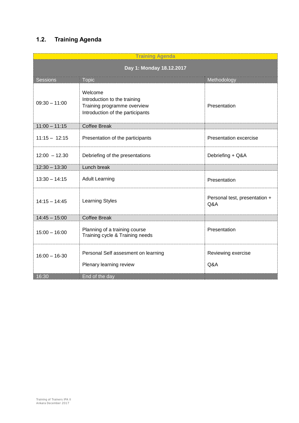## **1.2. Training Agenda**

| <b>Training Agenda</b>   |                                                                                                            |                                      |  |
|--------------------------|------------------------------------------------------------------------------------------------------------|--------------------------------------|--|
| Day 1: Monday 18.12.2017 |                                                                                                            |                                      |  |
| <b>Sessions</b>          | <b>Topic</b>                                                                                               | Methodology                          |  |
| $09:30 - 11:00$          | Welcome<br>Introduction to the training<br>Training programme overview<br>Introduction of the participants | Presentation                         |  |
| $11:00 - 11:15$          | <b>Coffee Break</b>                                                                                        |                                      |  |
| $11:15 - 12:15$          | Presentation of the participants                                                                           | <b>Presentation excercise</b>        |  |
| $12:00 - 12.30$          | Debriefing of the presentations                                                                            | Debriefing + Q&A                     |  |
| $12:30 - 13:30$          | Lunch break                                                                                                |                                      |  |
| $13:30 - 14:15$          | <b>Adult Learning</b>                                                                                      | Presentation                         |  |
| $14:15 - 14:45$          | <b>Learning Styles</b>                                                                                     | Personal test, presentation +<br>Q&A |  |
| $14:45 - 15:00$          | <b>Coffee Break</b>                                                                                        |                                      |  |
| $15:00 - 16:00$          | Planning of a training course<br>Training cycle & Training needs                                           | Presentation                         |  |
| $16:00 - 16-30$          | Personal Self assesment on learning<br>Plenary learning review                                             | Reviewing exercise<br>Q&A            |  |
| 16:30                    | End of the day                                                                                             |                                      |  |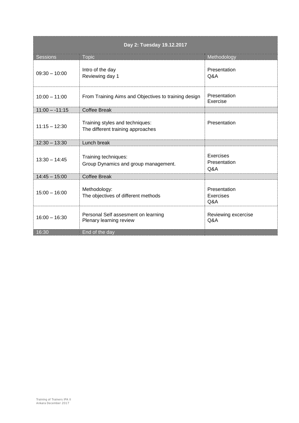| Day 2: Tuesday 19.12.2017 |                                                                      |                                         |  |
|---------------------------|----------------------------------------------------------------------|-----------------------------------------|--|
| <b>Sessions</b>           | <b>Topic</b>                                                         | Methodology                             |  |
| $09:30 - 10:00$           | Intro of the day<br>Reviewing day 1                                  | Presentation<br>Q&A                     |  |
| $10:00 - 11:00$           | From Training Aims and Objectives to training design                 | Presentation<br>Exercise                |  |
| $11:00 - 11:15$           | <b>Coffee Break</b>                                                  |                                         |  |
| $11:15 - 12:30$           | Training styles and techniques:<br>The different training approaches | Presentation                            |  |
| $12:30 - 13:30$           | Lunch break                                                          |                                         |  |
| $13:30 - 14:45$           | Training techniques:<br>Group Dynamics and group management.         | Exercises<br>Presentation<br>Q&A        |  |
| $14:45 - 15:00$           | <b>Coffee Break</b>                                                  |                                         |  |
| $15:00 - 16:00$           | Methodology:<br>The objectives of different methods                  | Presentation<br><b>Exercises</b><br>Q&A |  |
| $16:00 - 16:30$           | Personal Self assesment on learning<br>Plenary learning review       | Reviewing excercise<br>Q&A              |  |
| 16:30                     | End of the day                                                       |                                         |  |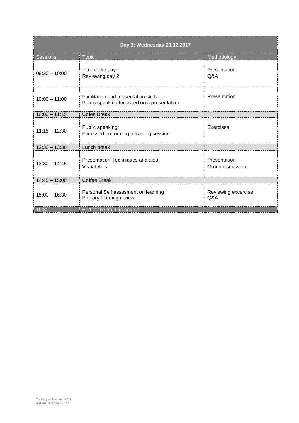| Day 3: Wednesday 20.12.2017 |                                                                                     |                                  |  |
|-----------------------------|-------------------------------------------------------------------------------------|----------------------------------|--|
| <b>Sessions</b>             | <b>Topic</b>                                                                        | Methodology                      |  |
| $09:30 - 10:00$             | Intro of the day<br>Reviewing day 2                                                 | Presentation<br>Q&A              |  |
| $10:00 - 11:00$             | Facilitation and presentation skills:<br>Public speaking focussed on a presentation | Presentation                     |  |
| $10:00 - 11:15$             | Cofee Break                                                                         |                                  |  |
| $11:15 - 12:30$             | Public speaking:<br>Focussed on running a training session                          | Exercises                        |  |
| $12:30 - 13:30$             | Lunch break                                                                         |                                  |  |
| $13:30 - 14:45$             | Presentation Techniques and aids<br>Visual Aids                                     | Presentation<br>Group discussion |  |
| $14:45 - 15:00$             | <b>Coffee Break</b>                                                                 |                                  |  |
| $15:00 - 16:30$             | Personal Self assesment on learning<br>Plenary learning review                      | Reviewing excercise<br>Q&A       |  |
| 16:30                       | End of the training course                                                          |                                  |  |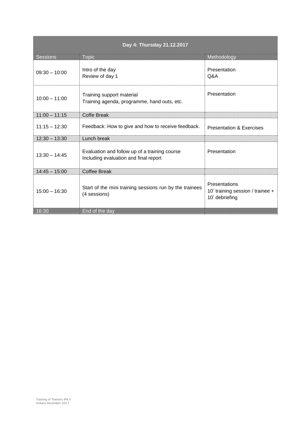| Day 4: Thursday 21.12.2017 |                                                                                        |                                                                     |  |
|----------------------------|----------------------------------------------------------------------------------------|---------------------------------------------------------------------|--|
| <b>Sessions</b>            | <b>Topic</b>                                                                           | Methodology                                                         |  |
| $09:30 - 10:00$            | Intro of the day<br>Review of day 1                                                    | Presentation<br>Q&A                                                 |  |
| $10:00 - 11:00$            | Training support material<br>Training agenda, programme, hand outs, etc.               | Presentation                                                        |  |
| $11:00 - 11:15$            | <b>Coffe Break</b>                                                                     |                                                                     |  |
| $11:15 - 12:30$            | Feedback: How to give and how to receive feedback.                                     | <b>Presentation &amp; Exercises</b>                                 |  |
| $12:30 - 13:30$            | Lunch break                                                                            |                                                                     |  |
| $13:30 - 14:45$            | Evaluation and follow up of a training course<br>Including evaluation and final report | Presentation                                                        |  |
| $14:45 - 15:00$            | <b>Coffee Break</b>                                                                    |                                                                     |  |
| $15:00 - 16:30$            | Start of the mini training sessions run by the trainees<br>(4 sessions)                | Presentations<br>10' training session / trainee +<br>10' debriefing |  |
| 16:30                      | End of the day                                                                         |                                                                     |  |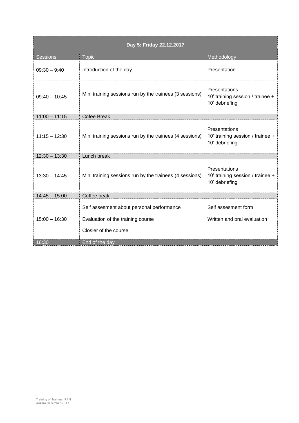| Day 5: Friday 22.12.2017 |                                                                                                         |                                                                            |  |
|--------------------------|---------------------------------------------------------------------------------------------------------|----------------------------------------------------------------------------|--|
| <b>Sessions</b>          | <b>Topic</b>                                                                                            | Methodology                                                                |  |
| $09:30 - 9:40$           | Introduction of the day                                                                                 | Presentation                                                               |  |
| $09:40 - 10:45$          | Mini training sessions run by the trainees (3 sessions)                                                 | <b>Presentations</b><br>10' training session / trainee +<br>10' debriefing |  |
| $11:00 - 11:15$          | <b>Cofee Break</b>                                                                                      |                                                                            |  |
| $11:15 - 12:30$          | Mini training sessions run by the trainees (4 sessions)                                                 | Presentations<br>10' training session / trainee +<br>10' debriefing        |  |
| $12:30 - 13:30$          | Lunch break                                                                                             |                                                                            |  |
| $13:30 - 14:45$          | Mini training sessions run by the trainees (4 sessions)                                                 | Presentations<br>10' training session / trainee +<br>10' debriefing        |  |
| $14:45 - 15:00$          | Coffee beak                                                                                             |                                                                            |  |
| $15:00 - 16:30$          | Self assesment about personal performance<br>Evaluation of the training course<br>Closier of the course | Self assesment form<br>Written and oral evaluation                         |  |
| 16:30                    | End of the day                                                                                          |                                                                            |  |